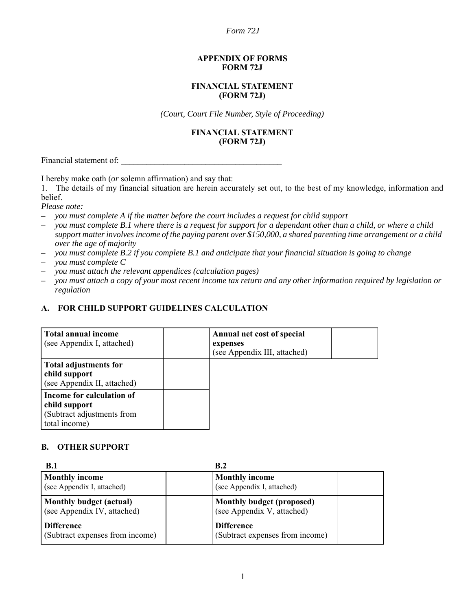#### **APPENDIX OF FORMS FORM 72J**

#### **FINANCIAL STATEMENT (FORM 72J)**

*(Court, Court File Number, Style of Proceeding)*

#### **FINANCIAL STATEMENT (FORM 72J)**

Financial statement of:

I hereby make oath (*or* solemn affirmation) and say that:

1. The details of my financial situation are herein accurately set out, to the best of my knowledge, information and belief.

*Please note:*

- *you must complete A if the matter before the court includes a request for child support*
- *you must complete B.1 where there is a request for support for a dependant other than a child, or where a child support matter involves income of the paying parent over \$150,000, a shared parenting time arrangement or a child over the age of majority*
- *you must complete B.2 if you complete B.1 and anticipate that your financial situation is going to change*
- *you must complete C*
- *you must attach the relevant appendices (calculation pages)*
- *you must attach a copy of your most recent income tax return and any other information required by legislation or regulation*

### **A. FOR CHILD SUPPORT GUIDELINES CALCULATION**

| Total annual income<br>(see Appendix I, attached)                                         | Annual net cost of special<br>expenses<br>(see Appendix III, attached) |
|-------------------------------------------------------------------------------------------|------------------------------------------------------------------------|
| <b>Total adjustments for</b><br>child support<br>(see Appendix II, attached)              |                                                                        |
| Income for calculation of<br>child support<br>(Subtract adjustments from<br>total income) |                                                                        |

## **B. OTHER SUPPORT**

| B.1                             | B.2                             |
|---------------------------------|---------------------------------|
| <b>Monthly income</b>           | <b>Monthly income</b>           |
| (see Appendix I, attached)      | (see Appendix I, attached)      |
| Monthly budget (actual)         | Monthly budget (proposed)       |
| (see Appendix IV, attached)     | (see Appendix V, attached)      |
| <b>Difference</b>               | <b>Difference</b>               |
| (Subtract expenses from income) | (Subtract expenses from income) |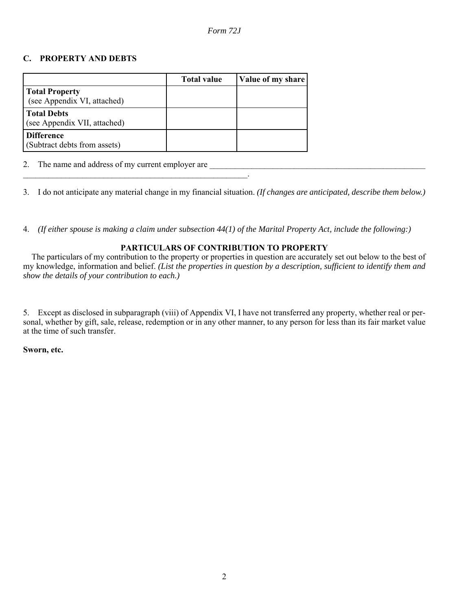### **C. PROPERTY AND DEBTS**

|                                                      | <b>Total value</b> | Value of my share |
|------------------------------------------------------|--------------------|-------------------|
| <b>Total Property</b><br>(see Appendix VI, attached) |                    |                   |
| <b>Total Debts</b><br>(see Appendix VII, attached)   |                    |                   |
| <b>Difference</b><br>(Subtract debts from assets)    |                    |                   |

2. The name and address of my current employer are

3. I do not anticipate any material change in my financial situation. *(If changes are anticipated, describe them below.)*

 $\mathcal{L}_\mathrm{max}$  and  $\mathcal{L}_\mathrm{max}$ 

4. *(If either spouse is making a claim under subsection 44(1) of the Marital Property Act, include the following:)*

### **PARTICULARS OF CONTRIBUTION TO PROPERTY**

The particulars of my contribution to the property or properties in question are accurately set out below to the best of my knowledge, information and belief. *(List the properties in question by a description, sufficient to identify them and show the details of your contribution to each.)*

5. Except as disclosed in subparagraph (viii) of Appendix VI, I have not transferred any property, whether real or personal, whether by gift, sale, release, redemption or in any other manner, to any person for less than its fair market value at the time of such transfer.

**Sworn, etc.**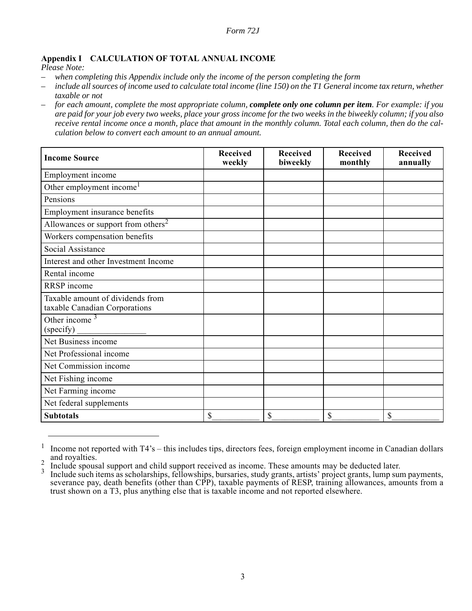### **Appendix I CALCULATION OF TOTAL ANNUAL INCOME**

*Please Note:*

- *when completing this Appendix include only the income of the person completing the form*
- *include all sources of income used to calculate total income (line 150) on the T1 General income tax return, whether taxable or not*
- *for each amount, complete the most appropriate column, complete only one column per item. For example: if you are paid for your job every two weeks, place your gross income for the two weeks in the biweekly column; if you also receive rental income once a month, place that amount in the monthly column. Total each column, then do the calculation below to convert each amount to an annual amount.*

| <b>Income Source</b>                                              | <b>Received</b><br>weekly | <b>Received</b><br>biweekly | <b>Received</b><br>monthly | Received<br>annually |
|-------------------------------------------------------------------|---------------------------|-----------------------------|----------------------------|----------------------|
| Employment income                                                 |                           |                             |                            |                      |
| Other employment income <sup>1</sup>                              |                           |                             |                            |                      |
| Pensions                                                          |                           |                             |                            |                      |
| Employment insurance benefits                                     |                           |                             |                            |                      |
| Allowances or support from others <sup>2</sup>                    |                           |                             |                            |                      |
| Workers compensation benefits                                     |                           |                             |                            |                      |
| Social Assistance                                                 |                           |                             |                            |                      |
| Interest and other Investment Income                              |                           |                             |                            |                      |
| Rental income                                                     |                           |                             |                            |                      |
| RRSP income                                                       |                           |                             |                            |                      |
| Taxable amount of dividends from<br>taxable Canadian Corporations |                           |                             |                            |                      |
| Other income $3$<br>(specify)                                     |                           |                             |                            |                      |
| Net Business income                                               |                           |                             |                            |                      |
| Net Professional income                                           |                           |                             |                            |                      |
| Net Commission income                                             |                           |                             |                            |                      |
| Net Fishing income                                                |                           |                             |                            |                      |
| Net Farming income                                                |                           |                             |                            |                      |
| Net federal supplements                                           |                           |                             |                            |                      |
| <b>Subtotals</b>                                                  | \$                        | \$                          | \$                         | \$                   |

 $1$  Income not reported with T4's – this includes tips, directors fees, foreign employment income in Canadian dollars and royalties.

 $\frac{2}{3}$  Include spousal support and child support received as income. These amounts may be deducted later.

Include such items as scholarships, fellowships, bursaries, study grants, artists' project grants, lump sum payments, severance pay, death benefits (other than CPP), taxable payments of RESP, training allowances, amounts from a trust shown on a T3, plus anything else that is taxable income and not reported elsewhere.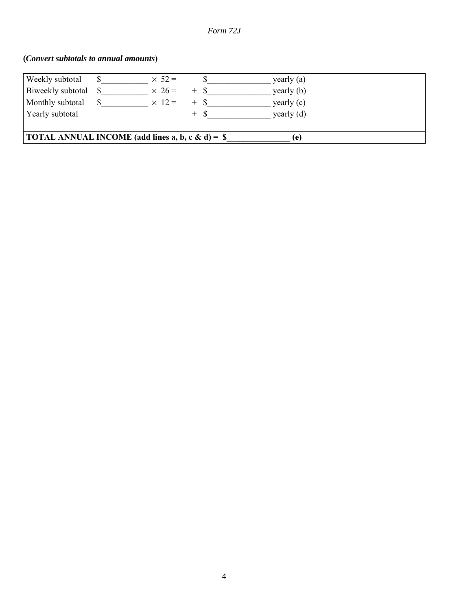# **(***Convert subtotals to annual amounts***)**

| Weekly subtotal                                                 |  | $\times$ 52 = |       | $\gamma$ yearly $(a)$ |  |
|-----------------------------------------------------------------|--|---------------|-------|-----------------------|--|
| Biweekly subtotal                                               |  | $\times$ 26 = |       | yearly (b)            |  |
| Monthly subtotal                                                |  | $\times$ 12 = | $+ S$ | yearly (c)            |  |
| Yearly subtotal                                                 |  |               | $+ S$ | yearly $(d)$          |  |
|                                                                 |  |               |       |                       |  |
| <b>TOTAL ANNUAL INCOME</b> (add lines a, b, c & d) = $\$<br>(e) |  |               |       |                       |  |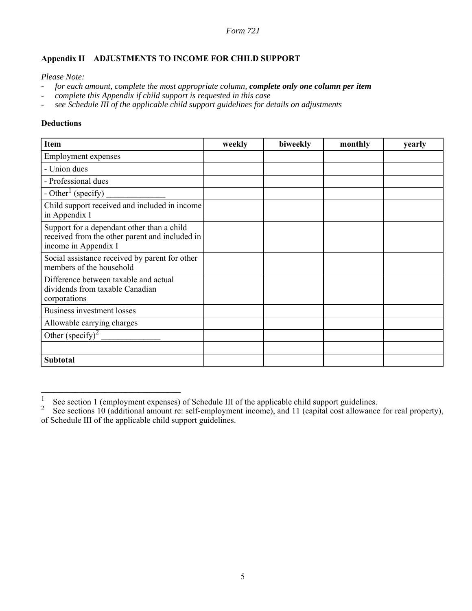# **Appendix II ADJUSTMENTS TO INCOME FOR CHILD SUPPORT**

*Please Note:*

- *for each amount, complete the most appropriate column, complete only one column per item*
- *complete this Appendix if child support is requested in this case*
- *see Schedule III of the applicable child support guidelines for details on adjustments*

#### **Deductions**

| <b>Item</b>                                                                                                          | weekly | biweekly | monthly | yearly |
|----------------------------------------------------------------------------------------------------------------------|--------|----------|---------|--------|
| <b>Employment expenses</b>                                                                                           |        |          |         |        |
| - Union dues                                                                                                         |        |          |         |        |
| - Professional dues                                                                                                  |        |          |         |        |
| - Other <sup>1</sup> (specify)                                                                                       |        |          |         |        |
| Child support received and included in income<br>in Appendix I                                                       |        |          |         |        |
| Support for a dependant other than a child<br>received from the other parent and included in<br>income in Appendix I |        |          |         |        |
| Social assistance received by parent for other<br>members of the household                                           |        |          |         |        |
| Difference between taxable and actual<br>dividends from taxable Canadian<br>corporations                             |        |          |         |        |
| <b>Business investment losses</b>                                                                                    |        |          |         |        |
| Allowable carrying charges                                                                                           |        |          |         |        |
| Other (specify) <sup>2</sup>                                                                                         |        |          |         |        |
|                                                                                                                      |        |          |         |        |
| <b>Subtotal</b>                                                                                                      |        |          |         |        |

**\_\_\_\_\_\_\_\_\_\_\_\_\_\_\_\_\_\_\_\_\_\_\_\_\_\_\_\_\_\_\_\_\_**

<sup>&</sup>lt;sup>1</sup> See section 1 (employment expenses) of Schedule III of the applicable child support guidelines.<br><sup>2</sup> See sections 10 (additional amount re: self-employment income), and 11 (capital cost allowance for real property), of Schedule III of the applicable child support guidelines.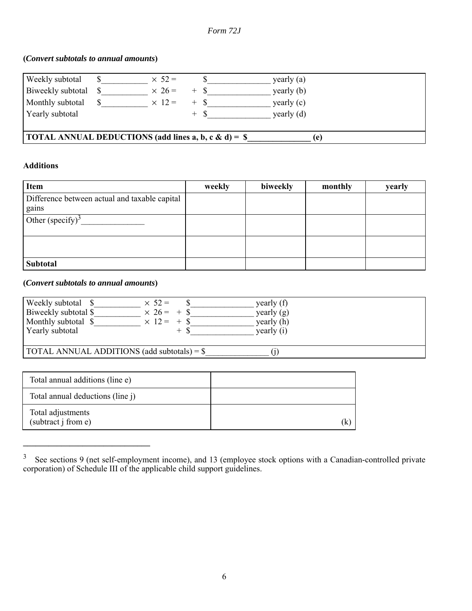# **(***Convert subtotals to annual amounts***)**

| Weekly subtotal                                                                    |  | $\times$ 52 = |       | yearly $(a)$ |
|------------------------------------------------------------------------------------|--|---------------|-------|--------------|
| Biweekly subtotal \$                                                               |  | $\times$ 26 = |       | yearly (b)   |
| Monthly subtotal                                                                   |  | $\times$ 12 = |       | yearly $(c)$ |
| Yearly subtotal                                                                    |  |               | $+ S$ | yearly $(d)$ |
|                                                                                    |  |               |       |              |
| <b>TOTAL ANNUAL DEDUCTIONS (add lines a, b, c &amp; d) = <math>\</math></b><br>(e) |  |               |       |              |

## **Additions**

| <b>Item</b>                                            | weekly | biweekly | monthly | yearly |
|--------------------------------------------------------|--------|----------|---------|--------|
| Difference between actual and taxable capital<br>gains |        |          |         |        |
| Other (specify) <sup>3</sup>                           |        |          |         |        |
|                                                        |        |          |         |        |
| <b>Subtotal</b>                                        |        |          |         |        |

# **(***Convert subtotals to annual amounts***)**

**\_\_\_\_\_\_\_\_\_\_\_\_\_\_\_\_\_\_\_\_\_\_\_\_\_\_\_\_\_\_**

| Weekly subtotal \$<br>Biweekly subtotal \$<br>Monthly subtotal \$<br>Yearly subtotal | $\times$ 52 =<br>$\times 26 = +$ \$<br>$\times$ 12 = + \$ | yearly (f)<br>yearly $(g)$<br>yearly (h)<br>yearly $(i)$ |  |
|--------------------------------------------------------------------------------------|-----------------------------------------------------------|----------------------------------------------------------|--|
| $\vert$ TOTAL ANNUAL ADDITIONS (add subtotals) = $\$                                 |                                                           |                                                          |  |

| Total annual additions (line e)          |   |
|------------------------------------------|---|
| Total annual deductions (line j)         |   |
| Total adjustments<br>(subtract j from e) | K |

 $3\degree$  See sections 9 (net self-employment income), and 13 (employee stock options with a Canadian-controlled private corporation) of Schedule III of the applicable child support guidelines.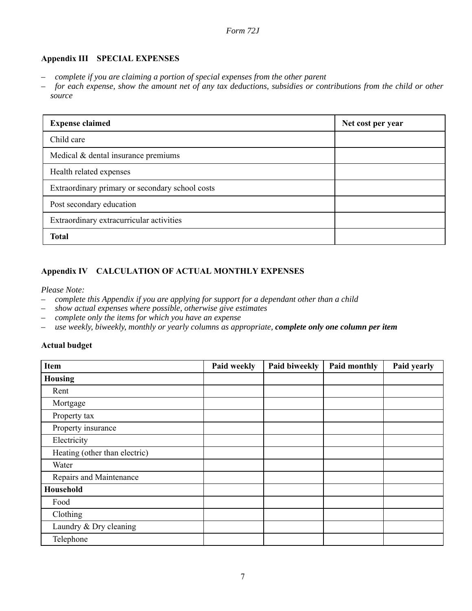## **Appendix III SPECIAL EXPENSES**

- *complete if you are claiming a portion of special expenses from the other parent*
- *for each expense, show the amount net of any tax deductions, subsidies or contributions from the child or other source*

| <b>Expense claimed</b>                          | Net cost per year |
|-------------------------------------------------|-------------------|
| Child care                                      |                   |
| Medical & dental insurance premiums             |                   |
| Health related expenses                         |                   |
| Extraordinary primary or secondary school costs |                   |
| Post secondary education                        |                   |
| Extraordinary extracurricular activities        |                   |
| <b>Total</b>                                    |                   |

# **Appendix IV CALCULATION OF ACTUAL MONTHLY EXPENSES**

#### *Please Note:*

- *complete this Appendix if you are applying for support for a dependant other than a child*
- *show actual expenses where possible, otherwise give estimates*
- *complete only the items for which you have an expense*
- *use weekly, biweekly, monthly or yearly columns as appropriate, complete only one column per item*

## **Actual budget**

| Item                          | Paid weekly | Paid biweekly | Paid monthly | Paid yearly |
|-------------------------------|-------------|---------------|--------------|-------------|
| <b>Housing</b>                |             |               |              |             |
| Rent                          |             |               |              |             |
| Mortgage                      |             |               |              |             |
| Property tax                  |             |               |              |             |
| Property insurance            |             |               |              |             |
| Electricity                   |             |               |              |             |
| Heating (other than electric) |             |               |              |             |
| Water                         |             |               |              |             |
| Repairs and Maintenance       |             |               |              |             |
| Household                     |             |               |              |             |
| Food                          |             |               |              |             |
| Clothing                      |             |               |              |             |
| Laundry & Dry cleaning        |             |               |              |             |
| Telephone                     |             |               |              |             |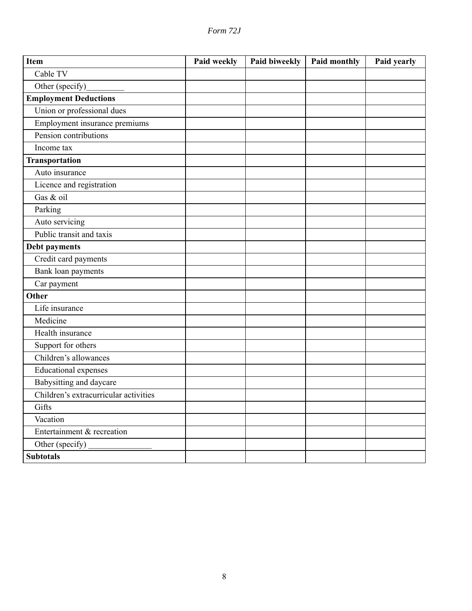| 'orm | $\prime$ |
|------|----------|
|      |          |

| <b>Item</b>                           | Paid weekly | Paid biweekly | <b>Paid monthly</b> | Paid yearly |
|---------------------------------------|-------------|---------------|---------------------|-------------|
| Cable TV                              |             |               |                     |             |
| Other (specify)                       |             |               |                     |             |
| <b>Employment Deductions</b>          |             |               |                     |             |
| Union or professional dues            |             |               |                     |             |
| Employment insurance premiums         |             |               |                     |             |
| Pension contributions                 |             |               |                     |             |
| Income tax                            |             |               |                     |             |
| Transportation                        |             |               |                     |             |
| Auto insurance                        |             |               |                     |             |
| Licence and registration              |             |               |                     |             |
| Gas & oil                             |             |               |                     |             |
| Parking                               |             |               |                     |             |
| Auto servicing                        |             |               |                     |             |
| Public transit and taxis              |             |               |                     |             |
| <b>Debt payments</b>                  |             |               |                     |             |
| Credit card payments                  |             |               |                     |             |
| Bank loan payments                    |             |               |                     |             |
| Car payment                           |             |               |                     |             |
| Other                                 |             |               |                     |             |
| Life insurance                        |             |               |                     |             |
| Medicine                              |             |               |                     |             |
| Health insurance                      |             |               |                     |             |
| Support for others                    |             |               |                     |             |
| Children's allowances                 |             |               |                     |             |
| <b>Educational expenses</b>           |             |               |                     |             |
| Babysitting and daycare               |             |               |                     |             |
| Children's extracurricular activities |             |               |                     |             |
| Gifts                                 |             |               |                     |             |
| Vacation                              |             |               |                     |             |
| Entertainment & recreation            |             |               |                     |             |
| Other (specify)                       |             |               |                     |             |
| <b>Subtotals</b>                      |             |               |                     |             |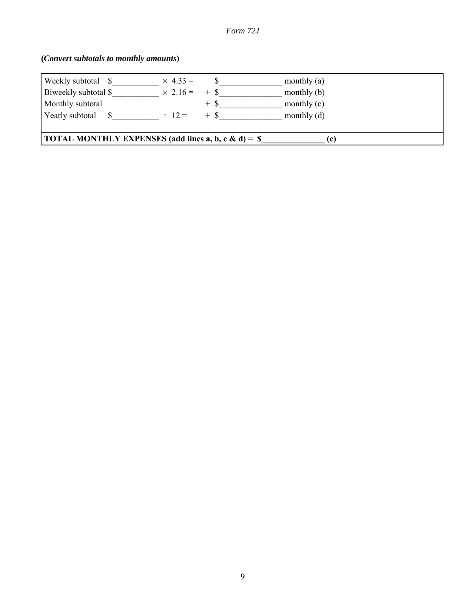# **(***Convert subtotals to monthly amounts***)**

| Weekly subtotal \$                                                 | $\times$ 4.33 = |        | monthly $(a)$ |
|--------------------------------------------------------------------|-----------------|--------|---------------|
| Biweekly subtotal \$                                               | $\times$ 2.16 = | $+$ \$ | monthly $(b)$ |
| Monthly subtotal                                                   |                 | $+$ \$ | monthly $(c)$ |
| Yearly subtotal                                                    | $\div$ 12 =     | $+$ \$ | monthly $(d)$ |
|                                                                    |                 |        |               |
| <b>TOTAL MONTHLY EXPENSES</b> (add lines a, b, c & d) = $\$<br>(e) |                 |        |               |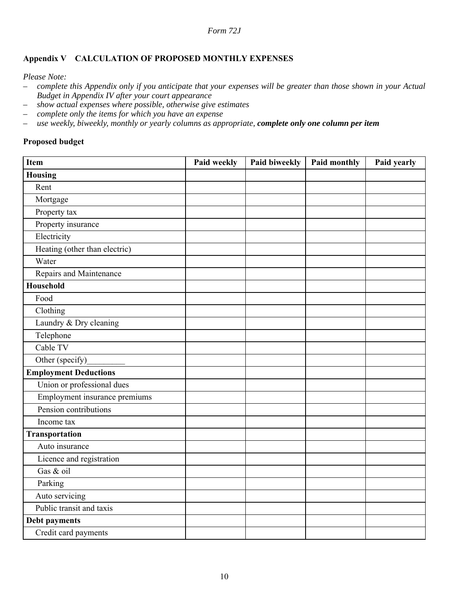# **Appendix V CALCULATION OF PROPOSED MONTHLY EXPENSES**

*Please Note:*

- *complete this Appendix only if you anticipate that your expenses will be greater than those shown in your Actual Budget in Appendix IV after your court appearance*
- *show actual expenses where possible, otherwise give estimates*
- *complete only the items for which you have an expense*
- *use weekly, biweekly, monthly or yearly columns as appropriate, complete only one column per item*

### **Proposed budget**

| Item                          | Paid weekly | Paid biweekly | Paid monthly | Paid yearly |
|-------------------------------|-------------|---------------|--------------|-------------|
| <b>Housing</b>                |             |               |              |             |
| Rent                          |             |               |              |             |
| Mortgage                      |             |               |              |             |
| Property tax                  |             |               |              |             |
| Property insurance            |             |               |              |             |
| Electricity                   |             |               |              |             |
| Heating (other than electric) |             |               |              |             |
| Water                         |             |               |              |             |
| Repairs and Maintenance       |             |               |              |             |
| <b>Household</b>              |             |               |              |             |
| Food                          |             |               |              |             |
| Clothing                      |             |               |              |             |
| Laundry & Dry cleaning        |             |               |              |             |
| Telephone                     |             |               |              |             |
| Cable TV                      |             |               |              |             |
| Other (specify)               |             |               |              |             |
| <b>Employment Deductions</b>  |             |               |              |             |
| Union or professional dues    |             |               |              |             |
| Employment insurance premiums |             |               |              |             |
| Pension contributions         |             |               |              |             |
| Income tax                    |             |               |              |             |
| <b>Transportation</b>         |             |               |              |             |
| Auto insurance                |             |               |              |             |
| Licence and registration      |             |               |              |             |
| Gas & oil                     |             |               |              |             |
| Parking                       |             |               |              |             |
| Auto servicing                |             |               |              |             |
| Public transit and taxis      |             |               |              |             |
| Debt payments                 |             |               |              |             |
| Credit card payments          |             |               |              |             |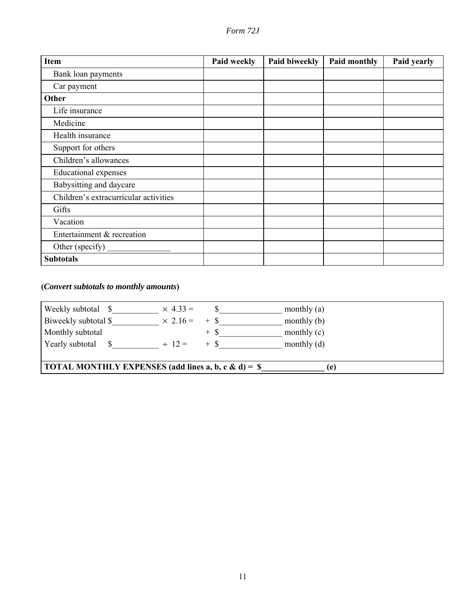|  | ) rrn |  |
|--|-------|--|
|--|-------|--|

| <b>Item</b>                           | Paid weekly | Paid biweekly | Paid monthly | Paid yearly |
|---------------------------------------|-------------|---------------|--------------|-------------|
| Bank loan payments                    |             |               |              |             |
| Car payment                           |             |               |              |             |
| Other                                 |             |               |              |             |
| Life insurance                        |             |               |              |             |
| Medicine                              |             |               |              |             |
| Health insurance                      |             |               |              |             |
| Support for others                    |             |               |              |             |
| Children's allowances                 |             |               |              |             |
| <b>Educational</b> expenses           |             |               |              |             |
| Babysitting and daycare               |             |               |              |             |
| Children's extracurricular activities |             |               |              |             |
| Gifts                                 |             |               |              |             |
| Vacation                              |             |               |              |             |
| Entertainment & recreation            |             |               |              |             |
| Other (specify)                       |             |               |              |             |
| <b>Subtotals</b>                      |             |               |              |             |

**(***Convert subtotals to monthly amounts***)**

| Weekly subtotal \$                                          | $\times$ 4.33 =      |       | monthly $(a)$ |  |
|-------------------------------------------------------------|----------------------|-------|---------------|--|
| Biweekly subtotal \$                                        | $\times$ 2.16 = + \$ |       | monthly $(b)$ |  |
| Monthly subtotal                                            |                      | $+$ S | monthly $(c)$ |  |
| Yearly subtotal                                             | $\div$ 12 =          | $+ S$ | monthly $(d)$ |  |
|                                                             |                      |       |               |  |
| <b>TOTAL MONTHLY EXPENSES</b> (add lines a, b, c & d) = $\$ |                      |       | (e)           |  |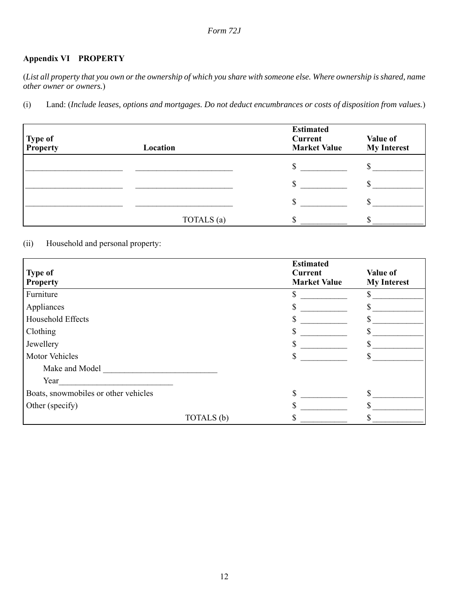# **Appendix VI PROPERTY**

(*List all property that you own or the ownership of which you share with someone else. Where ownership is shared, name other owner or owners.*)

(i) Land: (*Include leases, options and mortgages. Do not deduct encumbrances or costs of disposition from values.*)

| Type of<br>Property | Location   | <b>Estimated</b><br>Current<br><b>Market Value</b> | Value of<br><b>My Interest</b> |
|---------------------|------------|----------------------------------------------------|--------------------------------|
|                     |            |                                                    |                                |
|                     |            | S                                                  |                                |
|                     |            |                                                    |                                |
|                     | TOTALS (a) |                                                    |                                |

# (ii) Household and personal property:

| <b>Type of</b><br><b>Property</b>    |            | <b>Estimated</b><br><b>Current</b><br><b>Market Value</b> | Value of<br><b>My Interest</b> |
|--------------------------------------|------------|-----------------------------------------------------------|--------------------------------|
| Furniture                            |            |                                                           |                                |
| Appliances                           |            |                                                           |                                |
| Household Effects                    |            |                                                           |                                |
| Clothing                             |            |                                                           |                                |
| Jewellery                            |            |                                                           |                                |
| <b>Motor Vehicles</b>                |            |                                                           |                                |
| Make and Model                       |            |                                                           |                                |
| Year                                 |            |                                                           |                                |
| Boats, snowmobiles or other vehicles |            |                                                           |                                |
| Other (specify)                      |            |                                                           |                                |
|                                      | TOTALS (b) |                                                           |                                |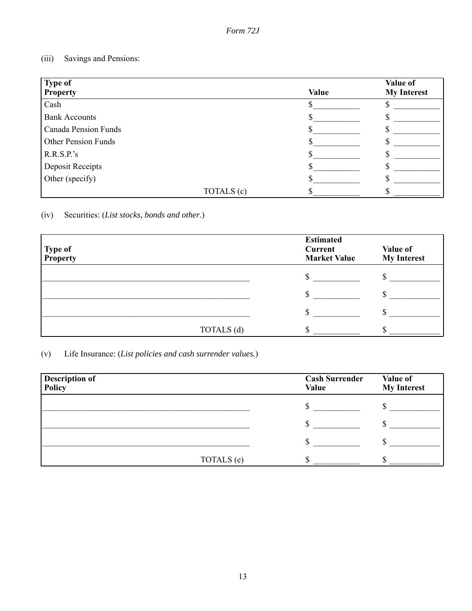# (iii) Savings and Pensions:

| <b>Type of</b><br><b>Property</b> |            | <b>Value</b> | Value of<br><b>My Interest</b> |
|-----------------------------------|------------|--------------|--------------------------------|
| Cash                              |            |              |                                |
| <b>Bank Accounts</b>              |            |              |                                |
| <b>Canada Pension Funds</b>       |            |              |                                |
| <b>Other Pension Funds</b>        |            |              |                                |
| R.R.S.P.'s                        |            |              |                                |
| Deposit Receipts                  |            |              |                                |
| Other (specify)                   |            |              |                                |
|                                   | TOTALS (c) |              |                                |

(iv) Securities: (*List stocks, bonds and other*.)

| Type of<br>Property | <b>Estimated</b><br>Current<br><b>Market Value</b> | Value of<br><b>My Interest</b> |
|---------------------|----------------------------------------------------|--------------------------------|
|                     |                                                    |                                |
|                     |                                                    |                                |
|                     |                                                    |                                |
| TOTALS (d)          |                                                    |                                |

(v) Life Insurance: (*List policies and cash surrender values.*)

| <b>Description of</b><br>Policy | <b>Cash Surrender</b><br><b>Value</b> | Value of<br><b>My Interest</b> |
|---------------------------------|---------------------------------------|--------------------------------|
|                                 |                                       |                                |
|                                 |                                       |                                |
|                                 |                                       |                                |
| TOTALS (e)                      |                                       |                                |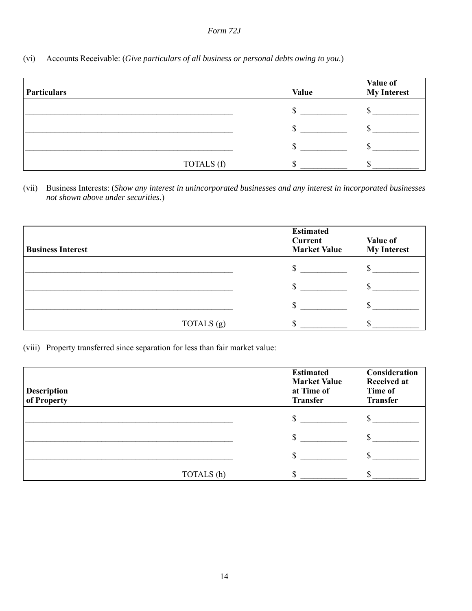(vi) Accounts Receivable: (*Give particulars of all business or personal debts owing to you*.)

| <b>Particulars</b> |            | <b>Value</b> | Value of<br><b>My Interest</b> |
|--------------------|------------|--------------|--------------------------------|
|                    |            |              |                                |
|                    |            |              |                                |
|                    |            |              |                                |
|                    | TOTALS (f) |              |                                |

(vii) Business Interests: (*Show any interest in unincorporated businesses and any interest in incorporated businesses not shown above under securities*.)

| <b>Business Interest</b> | <b>Estimated</b><br>Current<br><b>Market Value</b> | Value of<br><b>My Interest</b> |
|--------------------------|----------------------------------------------------|--------------------------------|
|                          | ۰D                                                 |                                |
|                          |                                                    |                                |
|                          |                                                    |                                |
| TOTALS (g)               |                                                    |                                |

(viii) Property transferred since separation for less than fair market value:

| <b>Description</b><br>of Property |            | <b>Estimated</b><br><b>Market Value</b><br>at Time of<br><b>Transfer</b> | Consideration<br><b>Received at</b><br>Time of<br><b>Transfer</b> |
|-----------------------------------|------------|--------------------------------------------------------------------------|-------------------------------------------------------------------|
|                                   |            | ۰D                                                                       |                                                                   |
|                                   |            |                                                                          |                                                                   |
|                                   |            |                                                                          |                                                                   |
|                                   | TOTALS (h) |                                                                          |                                                                   |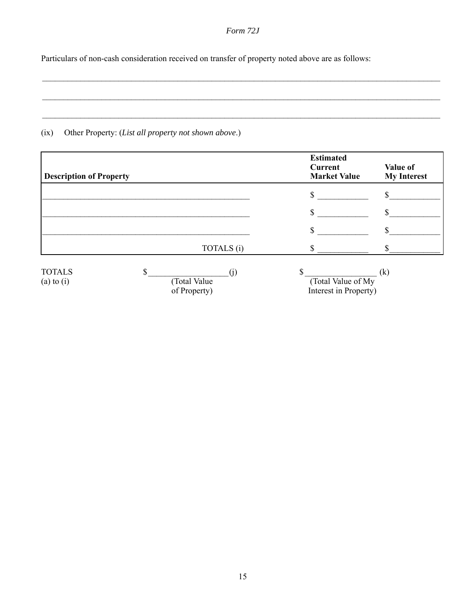$\mathcal{L}_\mathcal{L} = \{ \mathcal{L}_\mathcal{L} = \{ \mathcal{L}_\mathcal{L} = \{ \mathcal{L}_\mathcal{L} = \{ \mathcal{L}_\mathcal{L} = \{ \mathcal{L}_\mathcal{L} = \{ \mathcal{L}_\mathcal{L} = \{ \mathcal{L}_\mathcal{L} = \{ \mathcal{L}_\mathcal{L} = \{ \mathcal{L}_\mathcal{L} = \{ \mathcal{L}_\mathcal{L} = \{ \mathcal{L}_\mathcal{L} = \{ \mathcal{L}_\mathcal{L} = \{ \mathcal{L}_\mathcal{L} = \{ \mathcal{L}_\mathcal{$ 

 $\mathcal{L}_\mathcal{L} = \{ \mathcal{L}_\mathcal{L} = \{ \mathcal{L}_\mathcal{L} = \{ \mathcal{L}_\mathcal{L} = \{ \mathcal{L}_\mathcal{L} = \{ \mathcal{L}_\mathcal{L} = \{ \mathcal{L}_\mathcal{L} = \{ \mathcal{L}_\mathcal{L} = \{ \mathcal{L}_\mathcal{L} = \{ \mathcal{L}_\mathcal{L} = \{ \mathcal{L}_\mathcal{L} = \{ \mathcal{L}_\mathcal{L} = \{ \mathcal{L}_\mathcal{L} = \{ \mathcal{L}_\mathcal{L} = \{ \mathcal{L}_\mathcal{$ 

 $\mathcal{L}_\mathcal{L} = \{ \mathcal{L}_\mathcal{L} = \{ \mathcal{L}_\mathcal{L} = \{ \mathcal{L}_\mathcal{L} = \{ \mathcal{L}_\mathcal{L} = \{ \mathcal{L}_\mathcal{L} = \{ \mathcal{L}_\mathcal{L} = \{ \mathcal{L}_\mathcal{L} = \{ \mathcal{L}_\mathcal{L} = \{ \mathcal{L}_\mathcal{L} = \{ \mathcal{L}_\mathcal{L} = \{ \mathcal{L}_\mathcal{L} = \{ \mathcal{L}_\mathcal{L} = \{ \mathcal{L}_\mathcal{L} = \{ \mathcal{L}_\mathcal{$ 

Particulars of non-cash consideration received on transfer of property noted above are as follows:

# (ix) Other Property: (*List all property not shown above*.)

| <b>Description of Property</b>  |  |                    | <b>Estimated</b><br><b>Current</b><br><b>Market Value</b> | Value of<br><b>My Interest</b> |
|---------------------------------|--|--------------------|-----------------------------------------------------------|--------------------------------|
|                                 |  |                    | \$                                                        |                                |
|                                 |  |                    | \$                                                        |                                |
|                                 |  |                    | \$                                                        |                                |
|                                 |  | TOTALS (i)         |                                                           |                                |
| <b>TOTALS</b><br>$(a)$ to $(i)$ |  | (1)<br>Total Value | ¢<br>(Total Value of My                                   | $\left( k\right)$              |
|                                 |  | of Property)       | Interest in Property)                                     |                                |